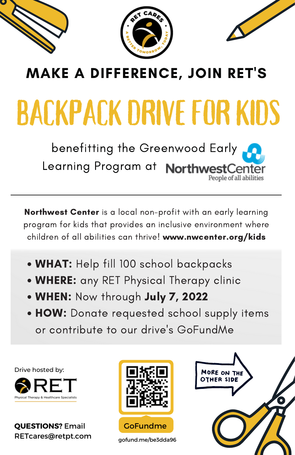



## MAKE A DIFFERENCE, JOIN RET'S

## **BACKPACK DRIVE FOR KIDS**

benefitting the Greenwood Early Learning Program at **NorthwestCenter** People of all abilities

Northwest Center is a local non-profit with an early learning program for kids that provides an inclusive environment where children of all abilities can thrive! www.nwcenter.org/kids

- WHAT: Help fill 100 school backpacks
- WHERE: any RET Physical Therapy clinic
- WHEN: Now through July 7, 2022
- HOW: Donate requested school supply items or contribute to our drive's GoFundMe

Drive hosted by:



**QUESTIONS?** Email RETcares@retpt.com



gofund.me/be3dda96